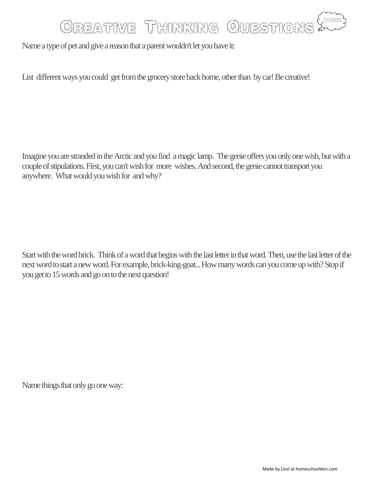## CAEATIVE THINKING QUESTIONS

Name a type of pet and give a reason that a parent wouldn't let you have it:

List different ways you could get from the grocery store back home, other than by car! Be creative!

Imagine you are stranded in the Arctic and you find a magic lamp. The genie offers you only one wish, but with a couple of stipulations. First, you can't wish for more wishes. And second, the genie cannot transport you anywhere. What would you wish for and why?

Start with the word brick. Think of a word that begins with the last letter in that word. Then, use the last letter of the next word to start a new word. For example, brick-king-goat... How many words can you come up with? Stop if you get to 15 words and go on to the next question!

Name things that only go one way: